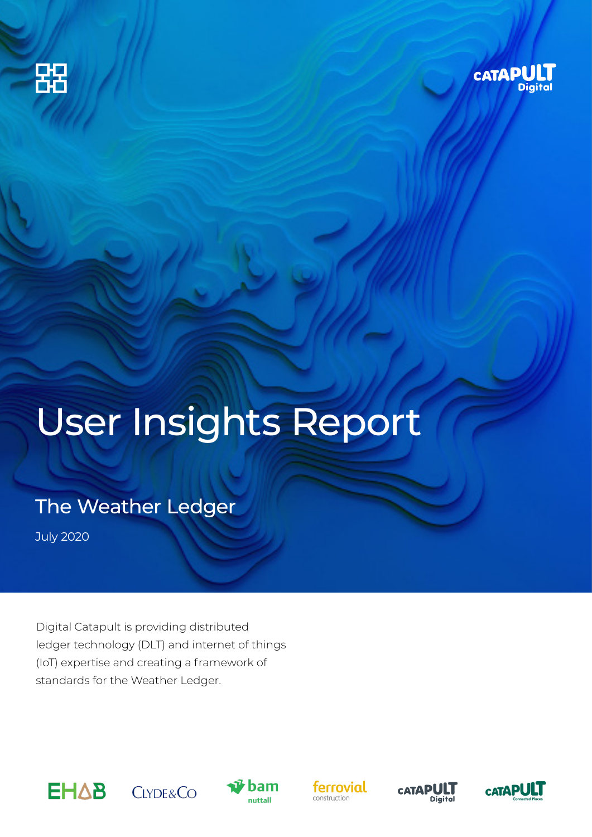



# User Insights Report

The Weather Ledger

July 2020

Digital Catapult is providing distributed ledger technology (DLT) and internet of things (IoT) expertise and creating a framework of standards for the Weather Ledger.











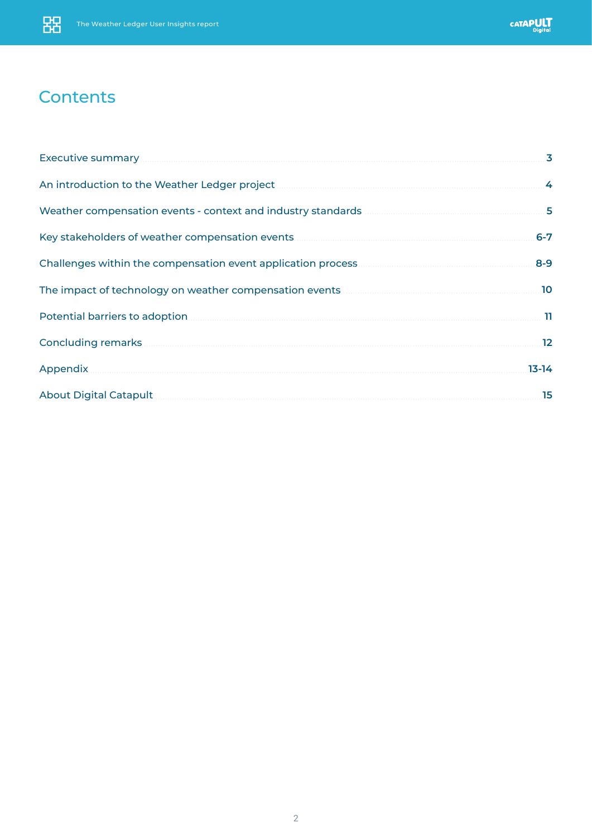## **Contents**

|                                                                                                                       | 3               |
|-----------------------------------------------------------------------------------------------------------------------|-----------------|
|                                                                                                                       | $\cdot$         |
| Weather compensation events - context and industry standards <b>Material Strutter Compensation</b> events -           | 5               |
|                                                                                                                       | $6-7$           |
|                                                                                                                       | $8 - 9$         |
|                                                                                                                       | 10              |
|                                                                                                                       | . 11            |
|                                                                                                                       | $\overline{12}$ |
| Appendix                                                                                                              | $13 - 14$       |
| About Digital Catapult <b>Executive Construction Construction</b> Construction Construction Construction Construction | 15              |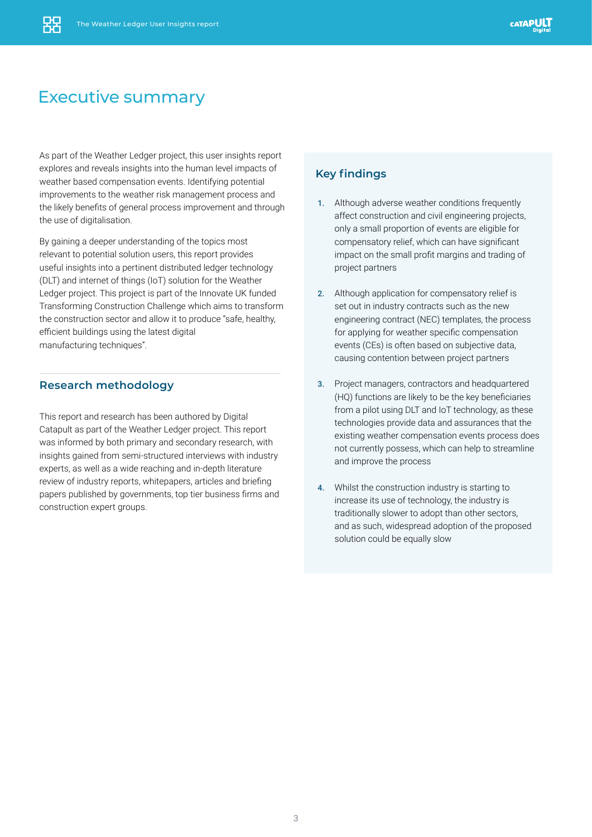### Executive summary

As part of the Weather Ledger project, this user insights report explores and reveals insights into the human level impacts of weather based compensation events. Identifying potential improvements to the weather risk management process and the likely benefits of general process improvement and through the use of digitalisation.

By gaining a deeper understanding of the topics most relevant to potential solution users, this report provides useful insights into a pertinent distributed ledger technology (DLT) and internet of things (IoT) solution for the Weather Ledger project. This project is part of the Innovate UK funded Transforming Construction Challenge which aims to transform the construction sector and allow it to produce "safe, healthy, efficient buildings using the latest digital manufacturing techniques".

#### **Research methodology**

This report and research has been authored by Digital Catapult as part of the Weather Ledger project. This report was informed by both primary and secondary research, with insights gained from semi-structured interviews with industry experts, as well as a wide reaching and in-depth literature review of industry reports, whitepapers, articles and briefing papers published by governments, top tier business firms and construction expert groups.

### **Key findings**

- 1. Although adverse weather conditions frequently affect construction and civil engineering projects, only a small proportion of events are eligible for compensatory relief, which can have significant impact on the small profit margins and trading of project partners
- 2. Although application for compensatory relief is set out in industry contracts such as the new engineering contract (NEC) templates, the process for applying for weather specific compensation events (CEs) is often based on subjective data, causing contention between project partners
- 3. Project managers, contractors and headquartered (HQ) functions are likely to be the key beneficiaries from a pilot using DLT and IoT technology, as these technologies provide data and assurances that the existing weather compensation events process does not currently possess, which can help to streamline and improve the process
- 4. Whilst the construction industry is starting to increase its use of technology, the industry is traditionally slower to adopt than other sectors, and as such, widespread adoption of the proposed solution could be equally slow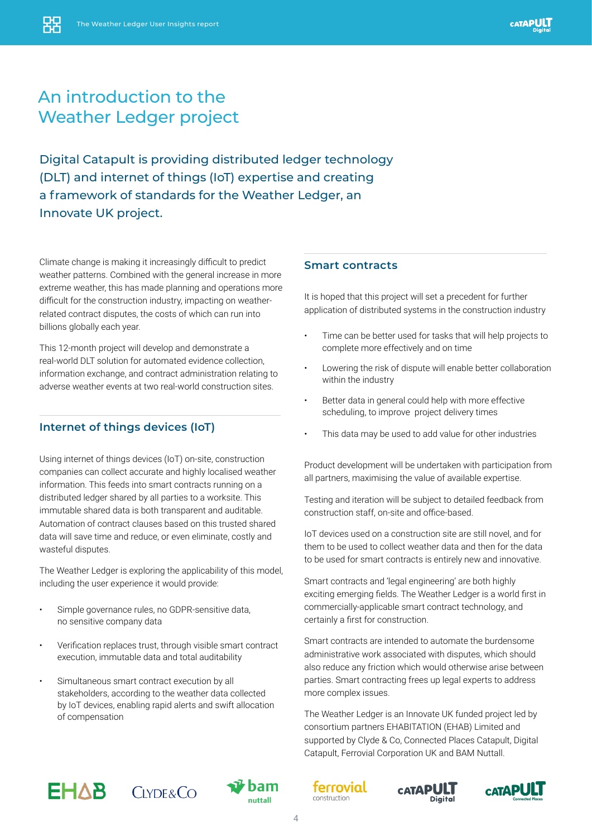# An introduction to the Weather Ledger project

Digital Catapult is providing distributed ledger technology (DLT) and internet of things (IoT) expertise and creating a framework of standards for the Weather Ledger, an Innovate UK project.

Climate change is making it increasingly difficult to predict weather patterns. Combined with the general increase in more extreme weather, this has made planning and operations more difficult for the construction industry, impacting on weatherrelated contract disputes, the costs of which can run into billions globally each year.

This 12-month project will develop and demonstrate a real-world DLT solution for automated evidence collection, information exchange, and contract administration relating to adverse weather events at two real-world construction sites.

### **Internet of things devices (IoT)**

Using internet of things devices (IoT) on-site, construction companies can collect accurate and highly localised weather information. This feeds into smart contracts running on a distributed ledger shared by all parties to a worksite. This immutable shared data is both transparent and auditable. Automation of contract clauses based on this trusted shared data will save time and reduce, or even eliminate, costly and wasteful disputes.

The Weather Ledger is exploring the applicability of this model, including the user experience it would provide:

- Simple governance rules, no GDPR-sensitive data, no sensitive company data
- Verification replaces trust, through visible smart contract execution, immutable data and total auditability
- Simultaneous smart contract execution by all stakeholders, according to the weather data collected by IoT devices, enabling rapid alerts and swift allocation of compensation

#### **Smart contracts**

It is hoped that this project will set a precedent for further application of distributed systems in the construction industry

- Time can be better used for tasks that will help projects to complete more effectively and on time
- Lowering the risk of dispute will enable better collaboration within the industry
- Better data in general could help with more effective scheduling, to improve project delivery times
- This data may be used to add value for other industries

Product development will be undertaken with participation from all partners, maximising the value of available expertise.

Testing and iteration will be subject to detailed feedback from construction staff, on-site and office-based.

IoT devices used on a construction site are still novel, and for them to be used to collect weather data and then for the data to be used for smart contracts is entirely new and innovative.

Smart contracts and 'legal engineering' are both highly exciting emerging fields. The Weather Ledger is a world first in commercially-applicable smart contract technology, and certainly a first for construction.

Smart contracts are intended to automate the burdensome administrative work associated with disputes, which should also reduce any friction which would otherwise arise between parties. Smart contracting frees up legal experts to address more complex issues.

The Weather Ledger is an Innovate UK funded project led by consortium partners EHABITATION (EHAB) Limited and supported by Clyde & Co, Connected Places Catapult, Digital Catapult, Ferrovial Corporation UK and BAM Nuttall.











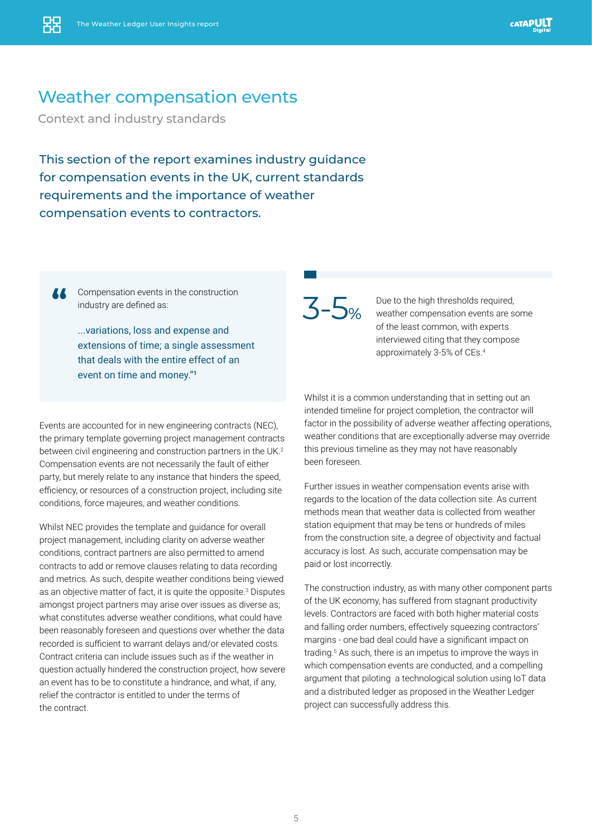### Weather compensation events

Context and industry standards

This section of the report examines industry guidance for compensation events in the UK, current standards requirements and the importance of weather compensation events to contractors.

**"** Compensation events in the construction industry are defined as:

...variations, loss and expense and extensions of time; a single assessment that deals with the entire effect of an event on time and money."**<sup>1</sup>**

Events are accounted for in new engineering contracts (NEC), the primary template governing project management contracts between civil engineering and construction partners in the UK.<sup>2</sup> Compensation events are not necessarily the fault of either party, but merely relate to any instance that hinders the speed, efficiency, or resources of a construction project, including site conditions, force majeures, and weather conditions.

Whilst NEC provides the template and guidance for overall project management, including clarity on adverse weather conditions, contract partners are also permitted to amend contracts to add or remove clauses relating to data recording and metrics. As such, despite weather conditions being viewed as an objective matter of fact, it is quite the opposite.<sup>3</sup> Disputes amongst project partners may arise over issues as diverse as; what constitutes adverse weather conditions, what could have been reasonably foreseen and questions over whether the data recorded is sufficient to warrant delays and/or elevated costs. Contract criteria can include issues such as if the weather in question actually hindered the construction project, how severe an event has to be to constitute a hindrance, and what, if any, relief the contractor is entitled to under the terms of the contract.



Due to the high thresholds required, weather compensation events are some of the least common, with experts interviewed citing that they compose approximately 3-5% of CEs.4

Whilst it is a common understanding that in setting out an intended timeline for project completion, the contractor will factor in the possibility of adverse weather affecting operations, weather conditions that are exceptionally adverse may override this previous timeline as they may not have reasonably been foreseen.

Further issues in weather compensation events arise with regards to the location of the data collection site. As current methods mean that weather data is collected from weather station equipment that may be tens or hundreds of miles from the construction site, a degree of objectivity and factual accuracy is lost. As such, accurate compensation may be paid or lost incorrectly.

The construction industry, as with many other component parts of the UK economy, has suffered from stagnant productivity levels. Contractors are faced with both higher material costs and falling order numbers, effectively squeezing contractors' margins - one bad deal could have a significant impact on trading.<sup>5</sup> As such, there is an impetus to improve the ways in which compensation events are conducted, and a compelling argument that piloting a technological solution using IoT data and a distributed ledger as proposed in the Weather Ledger project can successfully address this.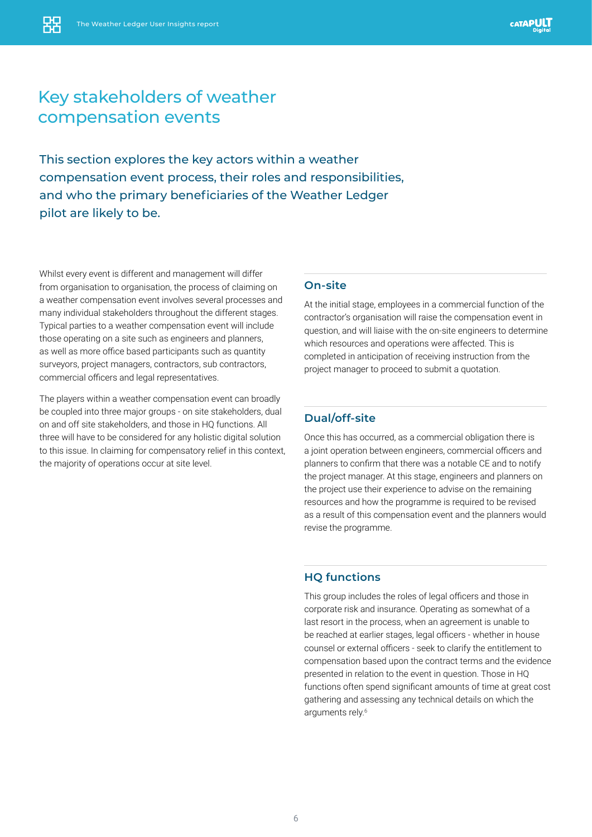## Key stakeholders of weather compensation events

This section explores the key actors within a weather compensation event process, their roles and responsibilities, and who the primary beneficiaries of the Weather Ledger pilot are likely to be.

Whilst every event is different and management will differ from organisation to organisation, the process of claiming on a weather compensation event involves several processes and many individual stakeholders throughout the different stages. Typical parties to a weather compensation event will include those operating on a site such as engineers and planners, as well as more office based participants such as quantity surveyors, project managers, contractors, sub contractors, commercial officers and legal representatives.

The players within a weather compensation event can broadly be coupled into three major groups - on site stakeholders, dual on and off site stakeholders, and those in HQ functions. All three will have to be considered for any holistic digital solution to this issue. In claiming for compensatory relief in this context, the majority of operations occur at site level.

#### **On-site**

At the initial stage, employees in a commercial function of the contractor's organisation will raise the compensation event in question, and will liaise with the on-site engineers to determine which resources and operations were affected. This is completed in anticipation of receiving instruction from the project manager to proceed to submit a quotation.

#### **Dual/off-site**

Once this has occurred, as a commercial obligation there is a joint operation between engineers, commercial officers and planners to confirm that there was a notable CE and to notify the project manager. At this stage, engineers and planners on the project use their experience to advise on the remaining resources and how the programme is required to be revised as a result of this compensation event and the planners would revise the programme.

#### **HQ functions**

This group includes the roles of legal officers and those in corporate risk and insurance. Operating as somewhat of a last resort in the process, when an agreement is unable to be reached at earlier stages, legal officers - whether in house counsel or external officers - seek to clarify the entitlement to compensation based upon the contract terms and the evidence presented in relation to the event in question. Those in HQ functions often spend significant amounts of time at great cost gathering and assessing any technical details on which the arguments rely.<sup>6</sup>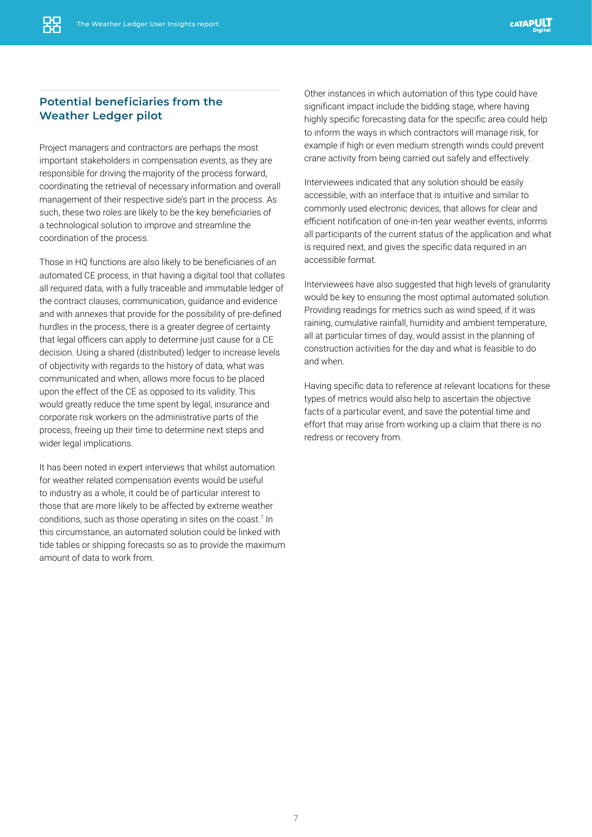### **Potential beneficiaries from the Weather Ledger pilot**

Project managers and contractors are perhaps the most important stakeholders in compensation events, as they are responsible for driving the majority of the process forward, coordinating the retrieval of necessary information and overall management of their respective side's part in the process. As such, these two roles are likely to be the key beneficiaries of a technological solution to improve and streamline the coordination of the process.

Those in HQ functions are also likely to be beneficiaries of an automated CE process, in that having a digital tool that collates all required data, with a fully traceable and immutable ledger of the contract clauses, communication, guidance and evidence and with annexes that provide for the possibility of pre-defined hurdles in the process, there is a greater degree of certainty that legal officers can apply to determine just cause for a CE decision. Using a shared (distributed) ledger to increase levels of objectivity with regards to the history of data, what was communicated and when, allows more focus to be placed upon the effect of the CE as opposed to its validity. This would greatly reduce the time spent by legal, insurance and corporate risk workers on the administrative parts of the process, freeing up their time to determine next steps and wider legal implications.

It has been noted in expert interviews that whilst automation for weather related compensation events would be useful to industry as a whole, it could be of particular interest to those that are more likely to be affected by extreme weather conditions, such as those operating in sites on the coast.<sup>7</sup> In this circumstance, an automated solution could be linked with tide tables or shipping forecasts so as to provide the maximum amount of data to work from.

Other instances in which automation of this type could have significant impact include the bidding stage, where having highly specific forecasting data for the specific area could help to inform the ways in which contractors will manage risk, for example if high or even medium strength winds could prevent crane activity from being carried out safely and effectively.

Interviewees indicated that any solution should be easily accessible, with an interface that is intuitive and similar to commonly used electronic devices, that allows for clear and efficient notification of one-in-ten year weather events, informs all participants of the current status of the application and what is required next, and gives the specific data required in an accessible format.

Interviewees have also suggested that high levels of granularity would be key to ensuring the most optimal automated solution. Providing readings for metrics such as wind speed, if it was raining, cumulative rainfall, humidity and ambient temperature, all at particular times of day, would assist in the planning of construction activities for the day and what is feasible to do and when.

Having specific data to reference at relevant locations for these types of metrics would also help to ascertain the objective facts of a particular event, and save the potential time and effort that may arise from working up a claim that there is no redress or recovery from.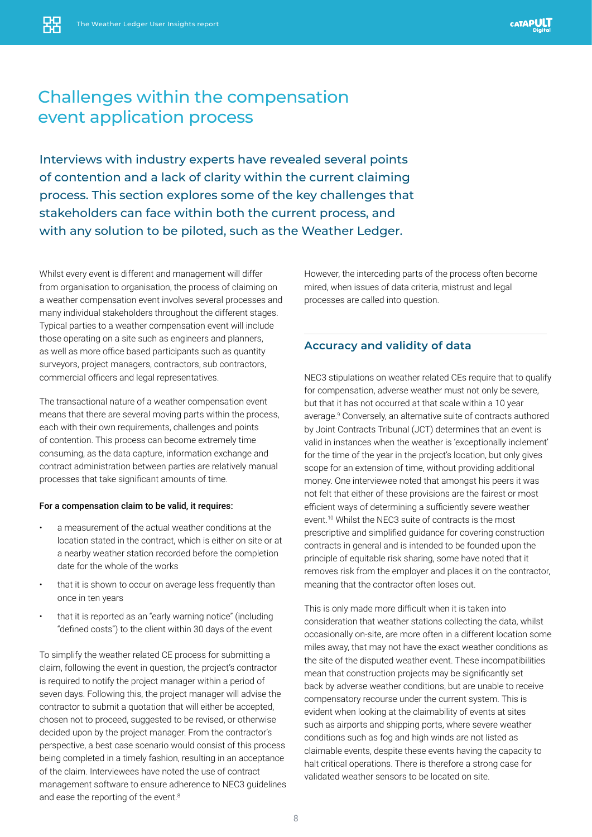# Challenges within the compensation event application process

Interviews with industry experts have revealed several points of contention and a lack of clarity within the current claiming process. This section explores some of the key challenges that stakeholders can face within both the current process, and with any solution to be piloted, such as the Weather Ledger.

Whilst every event is different and management will differ from organisation to organisation, the process of claiming on a weather compensation event involves several processes and many individual stakeholders throughout the different stages. Typical parties to a weather compensation event will include those operating on a site such as engineers and planners, as well as more office based participants such as quantity surveyors, project managers, contractors, sub contractors, commercial officers and legal representatives.

The transactional nature of a weather compensation event means that there are several moving parts within the process, each with their own requirements, challenges and points of contention. This process can become extremely time consuming, as the data capture, information exchange and contract administration between parties are relatively manual processes that take significant amounts of time.

#### For a compensation claim to be valid, it requires:

- a measurement of the actual weather conditions at the location stated in the contract, which is either on site or at a nearby weather station recorded before the completion date for the whole of the works
- that it is shown to occur on average less frequently than once in ten years
- that it is reported as an "early warning notice" (including "defined costs") to the client within 30 days of the event

To simplify the weather related CE process for submitting a claim, following the event in question, the project's contractor is required to notify the project manager within a period of seven days. Following this, the project manager will advise the contractor to submit a quotation that will either be accepted, chosen not to proceed, suggested to be revised, or otherwise decided upon by the project manager. From the contractor's perspective, a best case scenario would consist of this process being completed in a timely fashion, resulting in an acceptance of the claim. Interviewees have noted the use of contract management software to ensure adherence to NEC3 guidelines and ease the reporting of the event.<sup>8</sup>

However, the interceding parts of the process often become mired, when issues of data criteria, mistrust and legal processes are called into question.

#### **Accuracy and validity of data**

NEC3 stipulations on weather related CEs require that to qualify for compensation, adverse weather must not only be severe, but that it has not occurred at that scale within a 10 year average.9 Conversely, an alternative suite of contracts authored by Joint Contracts Tribunal (JCT) determines that an event is valid in instances when the weather is 'exceptionally inclement' for the time of the year in the project's location, but only gives scope for an extension of time, without providing additional money. One interviewee noted that amongst his peers it was not felt that either of these provisions are the fairest or most efficient ways of determining a sufficiently severe weather event.<sup>10</sup> Whilst the NEC3 suite of contracts is the most prescriptive and simplified guidance for covering construction contracts in general and is intended to be founded upon the principle of equitable risk sharing, some have noted that it removes risk from the employer and places it on the contractor, meaning that the contractor often loses out.

This is only made more difficult when it is taken into consideration that weather stations collecting the data, whilst occasionally on-site, are more often in a different location some miles away, that may not have the exact weather conditions as the site of the disputed weather event. These incompatibilities mean that construction projects may be significantly set back by adverse weather conditions, but are unable to receive compensatory recourse under the current system. This is evident when looking at the claimability of events at sites such as airports and shipping ports, where severe weather conditions such as fog and high winds are not listed as claimable events, despite these events having the capacity to halt critical operations. There is therefore a strong case for validated weather sensors to be located on site.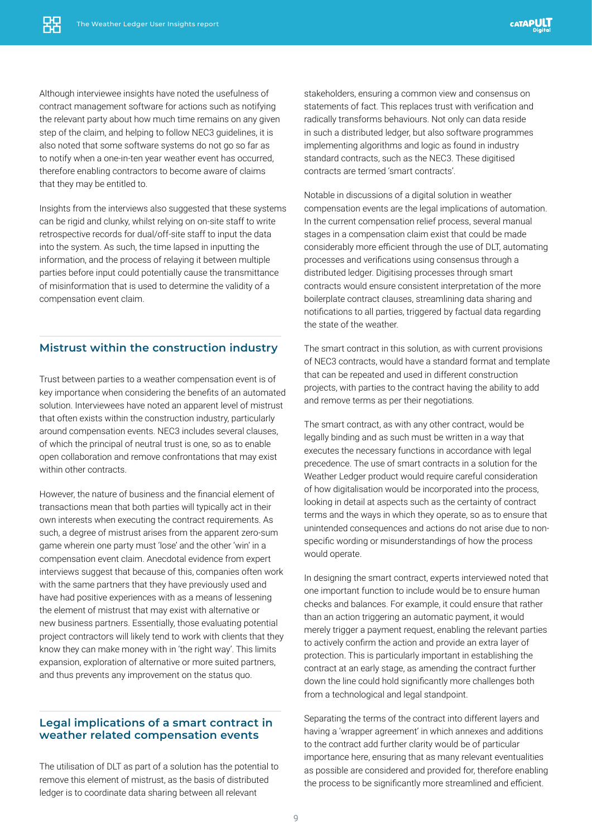Although interviewee insights have noted the usefulness of contract management software for actions such as notifying the relevant party about how much time remains on any given step of the claim, and helping to follow NEC3 guidelines, it is also noted that some software systems do not go so far as to notify when a one-in-ten year weather event has occurred, therefore enabling contractors to become aware of claims that they may be entitled to.

Insights from the interviews also suggested that these systems can be rigid and clunky, whilst relying on on-site staff to write retrospective records for dual/off-site staff to input the data into the system. As such, the time lapsed in inputting the information, and the process of relaying it between multiple parties before input could potentially cause the transmittance of misinformation that is used to determine the validity of a compensation event claim.

#### **Mistrust within the construction industry**

Trust between parties to a weather compensation event is of key importance when considering the benefits of an automated solution. Interviewees have noted an apparent level of mistrust that often exists within the construction industry, particularly around compensation events. NEC3 includes several clauses, of which the principal of neutral trust is one, so as to enable open collaboration and remove confrontations that may exist within other contracts.

However, the nature of business and the financial element of transactions mean that both parties will typically act in their own interests when executing the contract requirements. As such, a degree of mistrust arises from the apparent zero-sum game wherein one party must 'lose' and the other 'win' in a compensation event claim. Anecdotal evidence from expert interviews suggest that because of this, companies often work with the same partners that they have previously used and have had positive experiences with as a means of lessening the element of mistrust that may exist with alternative or new business partners. Essentially, those evaluating potential project contractors will likely tend to work with clients that they know they can make money with in 'the right way'. This limits expansion, exploration of alternative or more suited partners, and thus prevents any improvement on the status quo.

#### **Legal implications of a smart contract in weather related compensation events**

The utilisation of DLT as part of a solution has the potential to remove this element of mistrust, as the basis of distributed ledger is to coordinate data sharing between all relevant

stakeholders, ensuring a common view and consensus on statements of fact. This replaces trust with verification and radically transforms behaviours. Not only can data reside in such a distributed ledger, but also software programmes implementing algorithms and logic as found in industry standard contracts, such as the NEC3. These digitised contracts are termed 'smart contracts'.

Notable in discussions of a digital solution in weather compensation events are the legal implications of automation. In the current compensation relief process, several manual stages in a compensation claim exist that could be made considerably more efficient through the use of DLT, automating processes and verifications using consensus through a distributed ledger. Digitising processes through smart contracts would ensure consistent interpretation of the more boilerplate contract clauses, streamlining data sharing and notifications to all parties, triggered by factual data regarding the state of the weather.

The smart contract in this solution, as with current provisions of NEC3 contracts, would have a standard format and template that can be repeated and used in different construction projects, with parties to the contract having the ability to add and remove terms as per their negotiations.

The smart contract, as with any other contract, would be legally binding and as such must be written in a way that executes the necessary functions in accordance with legal precedence. The use of smart contracts in a solution for the Weather Ledger product would require careful consideration of how digitalisation would be incorporated into the process, looking in detail at aspects such as the certainty of contract terms and the ways in which they operate, so as to ensure that unintended consequences and actions do not arise due to nonspecific wording or misunderstandings of how the process would operate.

In designing the smart contract, experts interviewed noted that one important function to include would be to ensure human checks and balances. For example, it could ensure that rather than an action triggering an automatic payment, it would merely trigger a payment request, enabling the relevant parties to actively confirm the action and provide an extra layer of protection. This is particularly important in establishing the contract at an early stage, as amending the contract further down the line could hold significantly more challenges both from a technological and legal standpoint.

Separating the terms of the contract into different layers and having a 'wrapper agreement' in which annexes and additions to the contract add further clarity would be of particular importance here, ensuring that as many relevant eventualities as possible are considered and provided for, therefore enabling the process to be significantly more streamlined and efficient.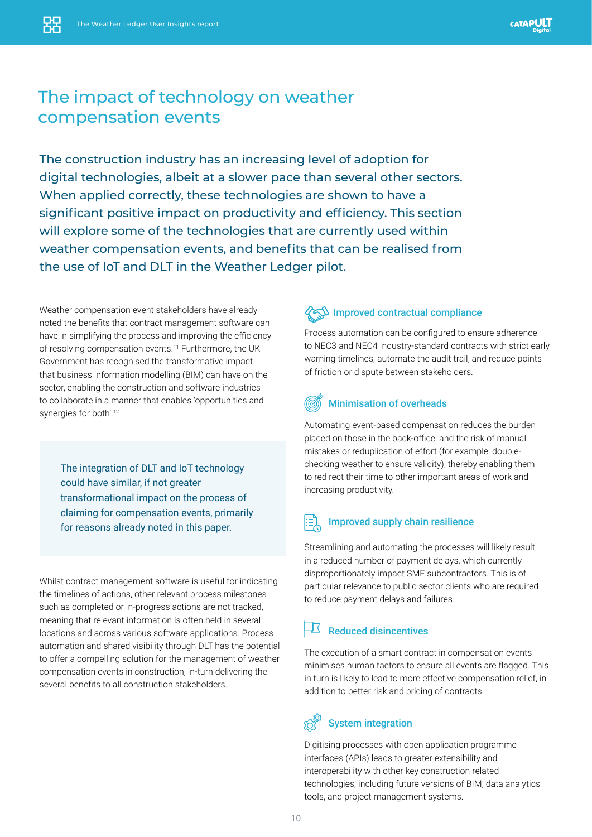## The impact of technology on weather compensation events

The construction industry has an increasing level of adoption for digital technologies, albeit at a slower pace than several other sectors. When applied correctly, these technologies are shown to have a significant positive impact on productivity and efficiency. This section will explore some of the technologies that are currently used within weather compensation events, and benefits that can be realised from the use of IoT and DLT in the Weather Ledger pilot.

Weather compensation event stakeholders have already noted the benefits that contract management software can have in simplifying the process and improving the efficiency of resolving compensation events.<sup>11</sup> Furthermore, the UK Government has recognised the transformative impact that business information modelling (BIM) can have on the sector, enabling the construction and software industries to collaborate in a manner that enables 'opportunities and synergies for both'.<sup>12</sup>

The integration of DLT and IoT technology could have similar, if not greater transformational impact on the process of claiming for compensation events, primarily for reasons already noted in this paper.

Whilst contract management software is useful for indicating the timelines of actions, other relevant process milestones such as completed or in-progress actions are not tracked, meaning that relevant information is often held in several locations and across various software applications. Process automation and shared visibility through DLT has the potential to offer a compelling solution for the management of weather compensation events in construction, in-turn delivering the several benefits to all construction stakeholders.

### ${\mathfrak{D}}$  Improved contractual compliance

Process automation can be configured to ensure adherence to NEC3 and NEC4 industry-standard contracts with strict early warning timelines, automate the audit trail, and reduce points of friction or dispute between stakeholders.

### Minimisation of overheads

Automating event-based compensation reduces the burden placed on those in the back-office, and the risk of manual mistakes or reduplication of effort (for example, doublechecking weather to ensure validity), thereby enabling them to redirect their time to other important areas of work and increasing productivity.

### $\left| \frac{1}{100}\right|$  Improved supply chain resilience

Streamlining and automating the processes will likely result in a reduced number of payment delays, which currently disproportionately impact SME subcontractors. This is of particular relevance to public sector clients who are required to reduce payment delays and failures.

### Reduced disincentives

The execution of a smart contract in compensation events minimises human factors to ensure all events are flagged. This in turn is likely to lead to more effective compensation relief, in addition to better risk and pricing of contracts.

### System integration

Digitising processes with open application programme interfaces (APIs) leads to greater extensibility and interoperability with other key construction related technologies, including future versions of BIM, data analytics tools, and project management systems.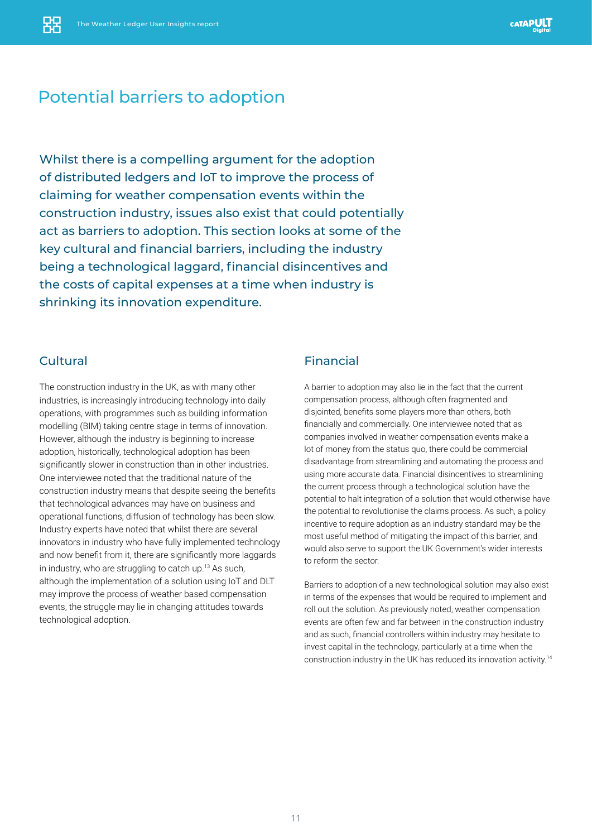# Potential barriers to adoption

Whilst there is a compelling argument for the adoption of distributed ledgers and IoT to improve the process of claiming for weather compensation events within the construction industry, issues also exist that could potentially act as barriers to adoption. This section looks at some of the key cultural and financial barriers, including the industry being a technological laggard, financial disincentives and the costs of capital expenses at a time when industry is shrinking its innovation expenditure.

### Cultural

The construction industry in the UK, as with many other industries, is increasingly introducing technology into daily operations, with programmes such as building information modelling (BIM) taking centre stage in terms of innovation. However, although the industry is beginning to increase adoption, historically, technological adoption has been significantly slower in construction than in other industries. One interviewee noted that the traditional nature of the construction industry means that despite seeing the benefits that technological advances may have on business and operational functions, diffusion of technology has been slow. Industry experts have noted that whilst there are several innovators in industry who have fully implemented technology and now benefit from it, there are significantly more laggards in industry, who are struggling to catch up.13 As such, although the implementation of a solution using IoT and DLT may improve the process of weather based compensation events, the struggle may lie in changing attitudes towards technological adoption.

### Financial

A barrier to adoption may also lie in the fact that the current compensation process, although often fragmented and disjointed, benefits some players more than others, both financially and commercially. One interviewee noted that as companies involved in weather compensation events make a lot of money from the status quo, there could be commercial disadvantage from streamlining and automating the process and using more accurate data. Financial disincentives to streamlining the current process through a technological solution have the potential to halt integration of a solution that would otherwise have the potential to revolutionise the claims process. As such, a policy incentive to require adoption as an industry standard may be the most useful method of mitigating the impact of this barrier, and would also serve to support the UK Government's wider interests to reform the sector.

Barriers to adoption of a new technological solution may also exist in terms of the expenses that would be required to implement and roll out the solution. As previously noted, weather compensation events are often few and far between in the construction industry and as such, financial controllers within industry may hesitate to invest capital in the technology, particularly at a time when the construction industry in the UK has reduced its innovation activity.14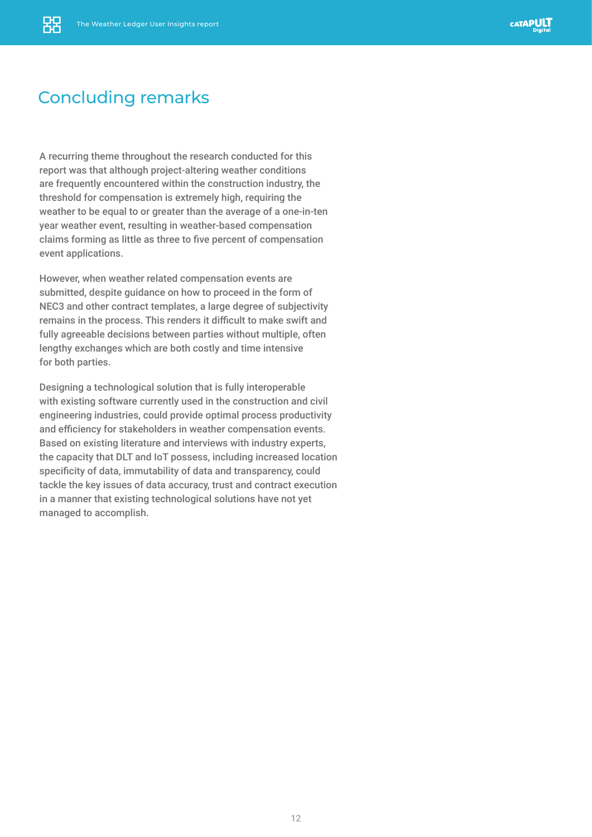# Concluding remarks

A recurring theme throughout the research conducted for this report was that although project-altering weather conditions are frequently encountered within the construction industry, the threshold for compensation is extremely high, requiring the weather to be equal to or greater than the average of a one-in-ten year weather event, resulting in weather-based compensation claims forming as little as three to five percent of compensation event applications.

However, when weather related compensation events are submitted, despite guidance on how to proceed in the form of NEC3 and other contract templates, a large degree of subjectivity remains in the process. This renders it difficult to make swift and fully agreeable decisions between parties without multiple, often lengthy exchanges which are both costly and time intensive for both parties.

Designing a technological solution that is fully interoperable with existing software currently used in the construction and civil engineering industries, could provide optimal process productivity and efficiency for stakeholders in weather compensation events. Based on existing literature and interviews with industry experts, the capacity that DLT and IoT possess, including increased location specificity of data, immutability of data and transparency, could tackle the key issues of data accuracy, trust and contract execution in a manner that existing technological solutions have not yet managed to accomplish.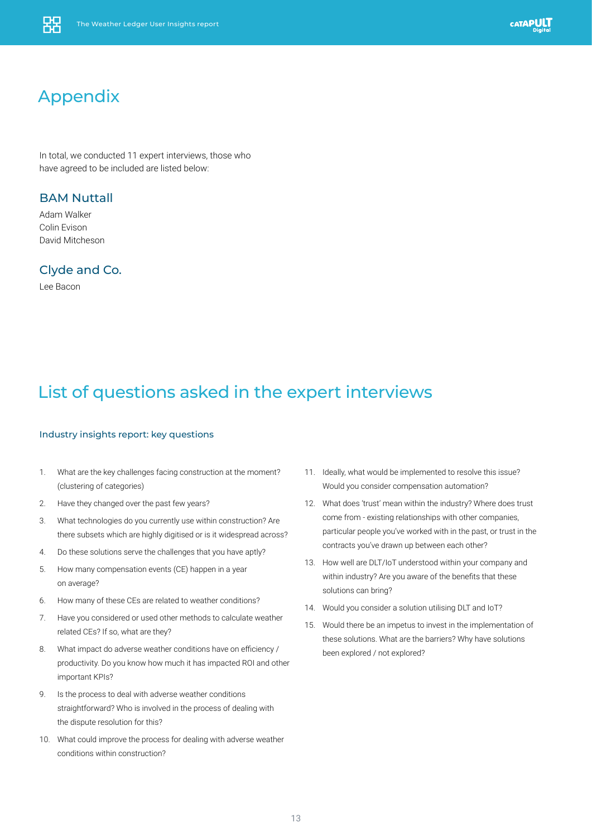# Appendix

In total, we conducted 11 expert interviews, those who have agreed to be included are listed below:

#### BAM Nuttall

Adam Walker Colin Evison David Mitcheson

Clyde and Co.

Lee Bacon

# List of questions asked in the expert interviews

#### Industry insights report: key questions

- 1. What are the key challenges facing construction at the moment? (clustering of categories)
- 2. Have they changed over the past few years?
- 3. What technologies do you currently use within construction? Are there subsets which are highly digitised or is it widespread across?
- 4. Do these solutions serve the challenges that you have aptly?
- 5. How many compensation events (CE) happen in a year on average?
- 6. How many of these CEs are related to weather conditions?
- 7. Have you considered or used other methods to calculate weather related CEs? If so, what are they?
- 8. What impact do adverse weather conditions have on efficiency / productivity. Do you know how much it has impacted ROI and other important KPIs?
- 9. Is the process to deal with adverse weather conditions straightforward? Who is involved in the process of dealing with the dispute resolution for this?
- 10. What could improve the process for dealing with adverse weather conditions within construction?
- 11. Ideally, what would be implemented to resolve this issue? Would you consider compensation automation?
- 12. What does 'trust' mean within the industry? Where does trust come from - existing relationships with other companies, particular people you've worked with in the past, or trust in the contracts you've drawn up between each other?
- 13. How well are DLT/IoT understood within your company and within industry? Are you aware of the benefits that these solutions can bring?
- 14. Would you consider a solution utilising DLT and IoT?
- 15. Would there be an impetus to invest in the implementation of these solutions. What are the barriers? Why have solutions been explored / not explored?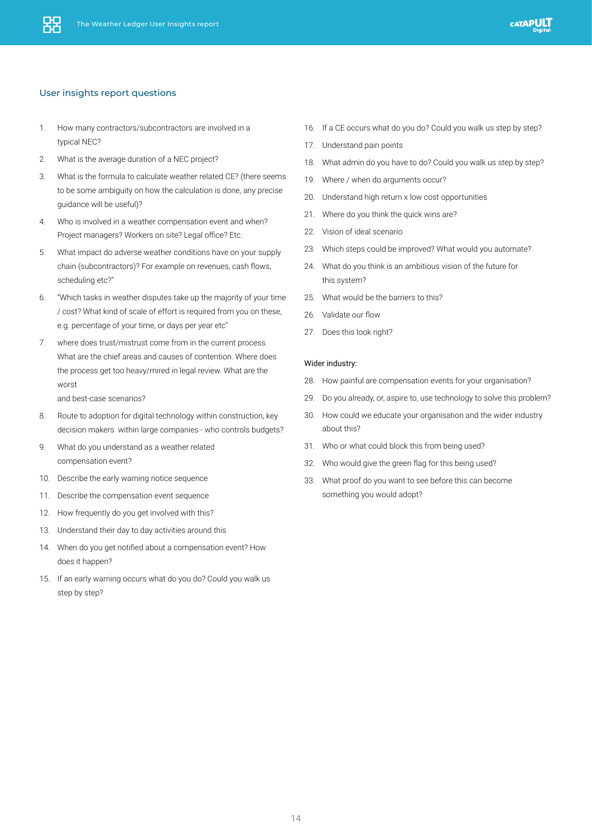#### User insights report questions

- 1. How many contractors/subcontractors are involved in a typical NEC?
- 2. What is the average duration of a NEC project?
- 3. What is the formula to calculate weather related CE? (there seems to be some ambiguity on how the calculation is done, any precise guidance will be useful)?
- 4. Who is involved in a weather compensation event and when? Project managers? Workers on site? Legal office? Etc.
- 5. What impact do adverse weather conditions have on your supply chain (subcontractors)? For example on revenues, cash flows, scheduling etc?"
- 6. "Which tasks in weather disputes take up the majority of your time / cost? What kind of scale of effort is required from you on these, e.g. percentage of your time, or days per year etc"
- 7. where does trust/mistrust come from in the current process. What are the chief areas and causes of contention. Where does the process get too heavy/mired in legal review. What are the worst

and best-case scenarios?

- 8. Route to adoption for digital technology within construction, key decision makers within large companies - who controls budgets?
- 9. What do you understand as a weather related compensation event?
- 10. Describe the early warning notice sequence
- 11. Describe the compensation event sequence
- 12. How frequently do you get involved with this?
- 13. Understand their day to day activities around this
- 14. When do you get notified about a compensation event? How does it happen?
- 15. If an early warning occurs what do you do? Could you walk us step by step?
- 16. If a CE occurs what do you do? Could you walk us step by step?
- 17. Understand pain points
- 18. What admin do you have to do? Could you walk us step by step?
- 19. Where / when do arguments occur?
- 20. Understand high return x low cost opportunities
- 21. Where do you think the quick wins are?
- 22. Vision of ideal scenario
- 23. Which steps could be improved? What would you automate?
- 24. What do you think is an ambitious vision of the future for this system?
- 25. What would be the barriers to this?
- 26. Validate our flow
- 27. Does this look right?

#### Wider industry:

- 28. How painful are compensation events for your organisation?
- 29. Do you already, or, aspire to, use technology to solve this problem?
- 30. How could we educate your organisation and the wider industry about this?
- 31. Who or what could block this from being used?
- 32. Who would give the green flag for this being used?
- 33. What proof do you want to see before this can become something you would adopt?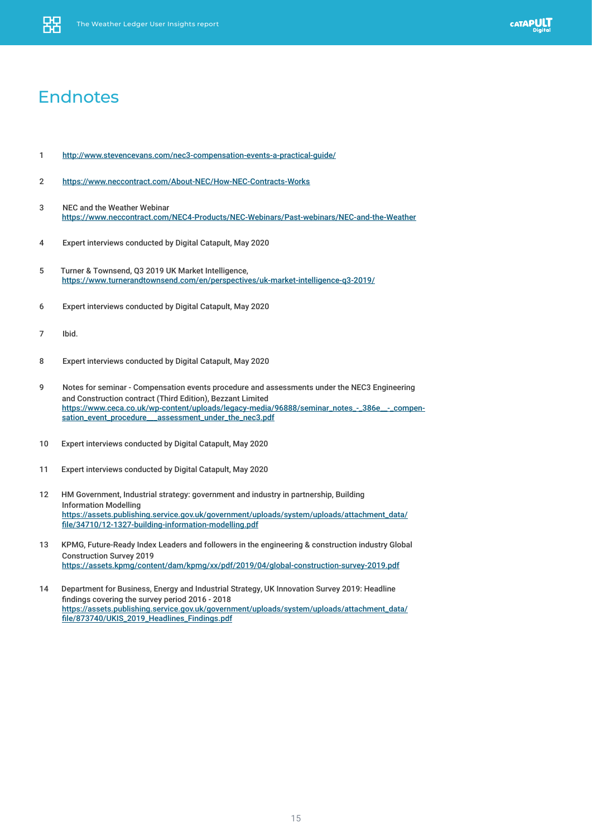

### **Endnotes**

- [1](  http://www.stevencevans.com/nec3-compensation-events-a-practical-guide/) <http://www.stevencevans.com/nec3-compensation-events-a-practical-guide/>
- 2 <https://www.neccontract.com/About-NEC/How-NEC-Contracts-Works>
- 3 NEC and the Weather Webinar <https://www.neccontract.com/NEC4-Products/NEC-Webinars/Past-webinars/NEC-and-the-Weather>
- [4 Expert interviews conducted by Digital Catapult, May 2020](http:// Expert interviews conducted by Digital Catapult, May 2020)
- 5 [Turner & Townsend, Q3 2019 UK Market Intelligence,]( Turner & Townsend, Q3 2019 UK Market Intelligence, https://www.turnerandtownsend.com/en/perspecti)  [https://www.turnerandtownsend.com/en/perspectives/uk-market-intelligence-q3-2019/]( Turner & Townsend, Q3 2019 UK Market Intelligence, https://www.turnerandtownsend.com/en/perspecti)
- 6 Expert interviews conducted by Digital Catapult, May 2020
- 7 Ibid.
- 8 Expert interviews conducted by Digital Catapult, May 2020
- 9 Notes for seminar Compensation events procedure and assessments under the NEC3 Engineering and Construction contract (Third Edition), Bezzant Limited https://www.ceca.co.uk/wp-content/uploads/legacy-media/96888/seminar\_notes\_-\_386e\_\_-\_compensation\_event\_procedure\_\_\_assessment\_under\_the\_nec3.pdf
- 10 Expert interviews conducted by Digital Catapult, May 2020
- 11 Expert interviews conducted by Digital Catapult, May 2020
- 12 HM Government, Industrial strategy: government and industry in partnership, Building Information Modelling [https://assets.publishing.service.gov.uk/government/uploads/system/uploads/attachment\\_data/](https://assets.publishing.service.gov.uk/government/uploads/system/uploads/attachment_data/file/34710/12-1327-building-information-modelling.pdf) [file/34710/12-1327-building-information-modelling.pdf](https://assets.publishing.service.gov.uk/government/uploads/system/uploads/attachment_data/file/34710/12-1327-building-information-modelling.pdf)
- 13 KPMG, Future-Ready Index Leaders and followers in the engineering & construction industry Global Construction Survey 2019 <https://assets.kpmg/content/dam/kpmg/xx/pdf/2019/04/global-construction-survey-2019.pdf>
- 14 Department for Business, Energy and Industrial Strategy, UK Innovation Survey 2019: Headline findings covering the survey period 2016 - 2018 [https://assets.publishing.service.gov.uk/government/uploads/system/uploads/attachment\\_data/](https://assets.publishing.service.gov.uk/government/uploads/system/uploads/attachment_data/file/8737) [file/873740/UKIS\\_2019\\_Headlines\\_Findings.pdf](https://assets.publishing.service.gov.uk/government/uploads/system/uploads/attachment_data/file/8737)